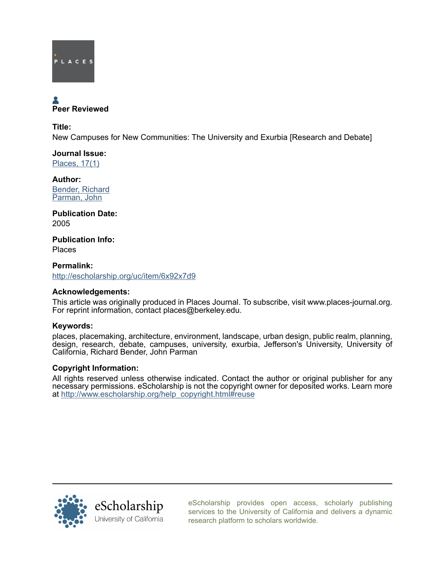

# Peer Reviewed

Title: New Campuses for New Communities: The University and Exurbia [Research and Debate]

Journal Issue: [Places, 17\(1\)](http://escholarship.org/uc/ced_places?volume=17;issue=1)

Author: [Bender, Richard](http://escholarship.org/uc/search?creator=Bender%2C%20Richard) [Parman, John](http://escholarship.org/uc/search?creator=Parman%2C%20John)

Publication Date: 2005

Publication Info: Places

Permalink: <http://escholarship.org/uc/item/6x92x7d9>

# Acknowledgements:

This article was originally produced in Places Journal. To subscribe, visit www.places-journal.org. For reprint information, contact places@berkeley.edu.

# Keywords:

places, placemaking, architecture, environment, landscape, urban design, public realm, planning, design, research, debate, campuses, university, exurbia, Jefferson's University, University of California, Richard Bender, John Parman

# Copyright Information:

All rights reserved unless otherwise indicated. Contact the author or original publisher for any necessary permissions. eScholarship is not the copyright owner for deposited works. Learn more at [http://www.escholarship.org/help\\_copyright.html#reuse](http://www.escholarship.org/help_copyright.html#reuse)



[eScholarship provides open access, scholarly publishing](http://escholarship.org) [services to the University of California and delivers a dynamic](http://escholarship.org) [research platform to scholars worldwide.](http://escholarship.org)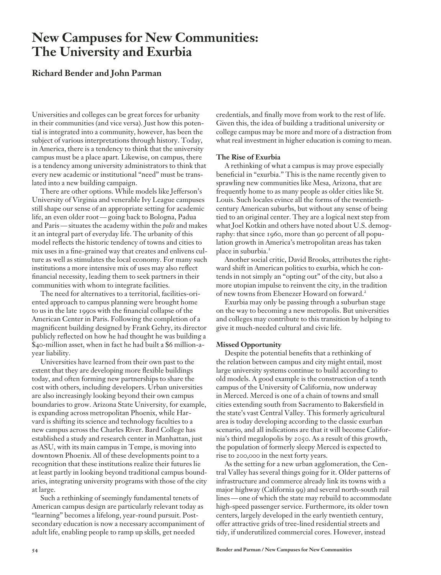# **New Campuses for New Communities: The University and Exurbia**

# **Richard Bender and John Parman**

Universities and colleges can be great forces for urbanity in their communities (and vice versa). Just how this potential is integrated into a community, however, has been the subject of various interpretations through history. Today, in America, there is a tendency to think that the university campus must be a place apart. Likewise, on campus, there is a tendency among university administrators to think that every new academic or institutional "need" must be translated into a new building campaign.

There are other options. While models like Jefferson's University of Virginia and venerable Ivy League campuses still shape our sense of an appropriate setting for academic life, an even older root — going back to Bologna, Padua and Paris — situates the academy within the *polis* and makes it an integral part of everyday life. The urbanity of this model reflects the historic tendency of towns and cities to mix uses in a fine-grained way that creates and enlivens culture as well as stimulates the local economy. For many such institutions a more intensive mix of uses may also reflect financial necessity, leading them to seek partners in their communities with whom to integrate facilities.

The need for alternatives to a territorial, facilities-oriented approach to campus planning were brought home to us in the late 1990s with the financial collapse of the American Center in Paris. Following the completion of a magnificent building designed by Frank Gehry, its director publicly reflected on how he had thought he was building a \$40-million asset, when in fact he had built a \$6 million-ayear liability.

Universities have learned from their own past to the extent that they are developing more flexible buildings today, and often forming new partnerships to share the cost with others, including developers. Urban universities are also increasingly looking beyond their own campus boundaries to grow. Arizona State University, for example, is expanding across metropolitan Phoenix, while Harvard is shifting its science and technology faculties to a new campus across the Charles River. Bard College has established a study and research center in Manhattan, just as ASU, with its main campus in Tempe, is moving into downtown Phoenix. All of these developments point to a recognition that these institutions realize their futures lie at least partly in looking beyond traditional campus boundaries, integrating university programs with those of the city at large.

Such a rethinking of seemingly fundamental tenets of American campus design are particularly relevant today as "learning" becomes a lifelong, year-round pursuit. Postsecondary education is now a necessary accompaniment of adult life, enabling people to ramp up skills, get needed

credentials, and finally move from work to the rest of life. Given this, the idea of building a traditional university or college campus may be more and more of a distraction from what real investment in higher education is coming to mean.

#### **The Rise of Exurbia**

A rethinking of what a campus is may prove especially beneficial in "exurbia." This is the name recently given to sprawling new communities like Mesa, Arizona, that are frequently home to as many people as older cities like St. Louis. Such locales evince all the forms of the twentiethcentury American suburbs, but without any sense of being tied to an original center. They are a logical next step from what Joel Kotkin and others have noted about U.S. demography: that since 1960, more than 90 percent of all population growth in America's metropolitan areas has taken place in suburbia.<sup>1</sup>

Another social critic, David Brooks, attributes the rightward shift in American politics to exurbia, which he contends in not simply an "opting out" of the city, but also a more utopian impulse to reinvent the city, in the tradition of new towns from Ebenezer Howard on forward.<sup>2</sup>

Exurbia may only be passing through a suburban stage on the way to becoming a new metropolis. But universities and colleges may contribute to this transition by helping to give it much-needed cultural and civic life.

### **Missed Opportunity**

Despite the potential benefits that a rethinking of the relation between campus and city might entail, most large university systems continue to build according to old models. A good example is the construction of a tenth campus of the University of California, now underway in Merced. Merced is one of a chain of towns and small cities extending south from Sacramento to Bakersfield in the state's vast Central Valley. This formerly agricultural area is today developing according to the classic exurban scenario, and all indications are that it will become California's third megalopolis by 2050. As a result of this growth, the population of formerly sleepy Merced is expected to rise to 200,000 in the next forty years.

As the setting for a new urban agglomeration, the Central Valley has several things going for it. Older patterns of infrastructure and commerce already link its towns with a major highway (California 99) and several north-south rail lines — one of which the state may rebuild to accommodate high-speed passenger service. Furthermore, its older town centers, largely developed in the early twentieth century, offer attractive grids of tree-lined residential streets and tidy, if underutilized commercial cores. However, instead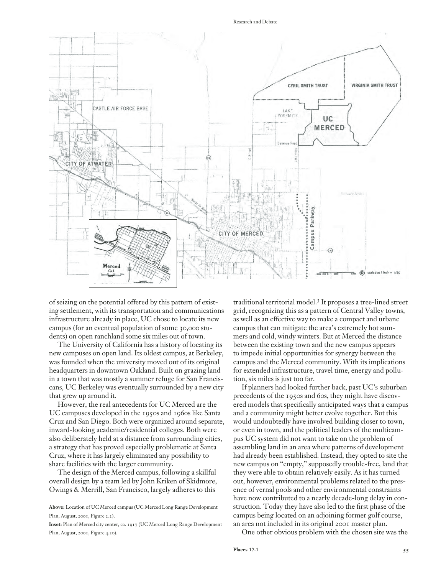Research and Debate



of seizing on the potential offered by this pattern of existing settlement, with its transportation and communications infrastructure already in place, UC chose to locate its new campus (for an eventual population of some 30,000 students) on open ranchland some six miles out of town.

The University of California has a history of locating its new campuses on open land. Its oldest campus, at Berkeley, was founded when the university moved out of its original headquarters in downtown Oakland. Built on grazing land in a town that was mostly a summer refuge for San Franciscans, UC Berkeley was eventually surrounded by a new city that grew up around it.

However, the real antecedents for UC Merced are the UC campuses developed in the 1950s and 1960s like Santa Cruz and San Diego. Both were organized around separate, inward-looking academic/residential colleges. Both were also deliberately held at a distance from surrounding cities, a strategy that has proved especially problematic at Santa Cruz, where it has largely eliminated any possibility to share facilities with the larger community.

The design of the Merced campus, following a skillful overall design by a team led by John Kriken of Skidmore, Owings & Merrill, San Francisco, largely adheres to this

**Inset:** Plan of Merced city center, ca. 1917 (UC Merced Long Range Development Plan, August, 2001, Figure 4.20).

traditional territorial model.3 It proposes a tree-lined street grid, recognizing this as a pattern of Central Valley towns, as well as an effective way to make a compact and urbane campus that can mitigate the area's extremely hot summers and cold, windy winters. But at Merced the distance between the existing town and the new campus appears to impede initial opportunities for synergy between the campus and the Merced community. With its implications for extended infrastructure, travel time, energy and pollution, six miles is just too far.

If planners had looked further back, past UC's suburban precedents of the 1950s and 60s, they might have discovered models that specifically anticipated ways that a campus and a community might better evolve together. But this would undoubtedly have involved building closer to town, or even in town, and the political leaders of the multicampus UC system did not want to take on the problem of assembling land in an area where patterns of development had already been established. Instead, they opted to site the new campus on "empty," supposedly trouble-free, land that they were able to obtain relatively easily. As it has turned out, however, environmental problems related to the presence of vernal pools and other environmental constraints have now contributed to a nearly decade-long delay in construction. Today they have also led to the first phase of the campus being located on an adjoining former golf course, an area not included in its original 2001 master plan.

One other obvious problem with the chosen site was the

**Above:** Location of UC Merced campus (UC Merced Long Range Development Plan, August, 2001, Figure 2.2).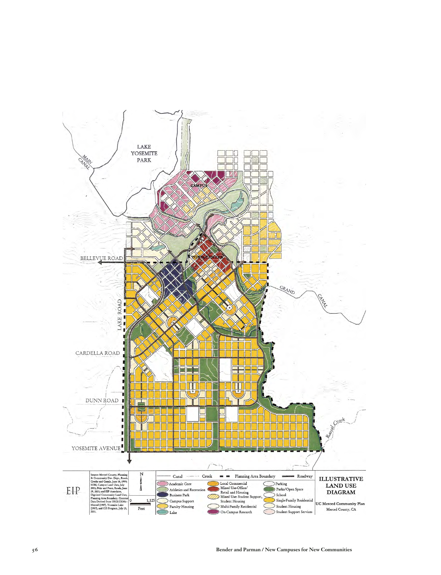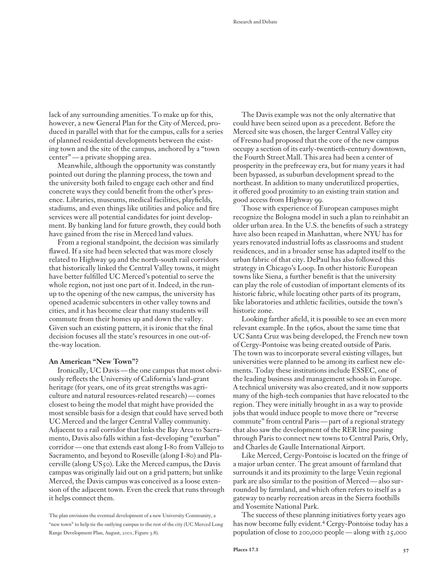lack of any surrounding amenities. To make up for this, however, a new General Plan for the City of Merced, produced in parallel with that for the campus, calls for a series of planned residential developments between the existing town and the site of the campus, anchored by a "town center" — a private shopping area.

Meanwhile, although the opportunity was constantly pointed out during the planning process, the town and the university both failed to engage each other and find concrete ways they could benefit from the other's presence. Libraries, museums, medical facilities, playfields, stadiums, and even things like utilities and police and fire services were all potential candidates for joint development. By banking land for future growth, they could both have gained from the rise in Merced land values.

From a regional standpoint, the decision was similarly flawed. If a site had been selected that was more closely related to Highway 99 and the north-south rail corridors that historically linked the Central Valley towns, it might have better fulfilled UC Merced's potential to serve the whole region, not just one part of it. Indeed, in the runup to the opening of the new campus, the university has opened academic subcenters in other valley towns and cities, and it has become clear that many students will commute from their homes up and down the valley. Given such an existing pattern, it is ironic that the final decision focuses all the state's resources in one out-ofthe-way location.

#### **An American "New Town"?**

Ironically, UC Davis — the one campus that most obviously reflects the University of California's land-grant heritage (for years, one of its great strengths was agriculture and natural resources-related research) — comes closest to being the model that might have provided the most sensible basis for a design that could have served both UC Merced and the larger Central Valley community. Adjacent to a rail corridor that links the Bay Area to Sacramento, Davis also falls within a fast-developing "exurban" corridor — one that extends east along I-80 from Vallejo to Sacramento, and beyond to Roseville (along I-80) and Placerville (along US50). Like the Merced campus, the Davis campus was originally laid out on a grid pattern; but unlike Merced, the Davis campus was conceived as a loose extension of the adjacent town. Even the creek that runs through it helps connect them.

The plan envisions the eventual development of a new University Community, a "new town" to help tie the outlying campus to the rest of the city (UC Merced Long Range Development Plan, August, 2001, Figure 3.8).

The Davis example was not the only alternative that could have been seized upon as a precedent. Before the Merced site was chosen, the larger Central Valley city of Fresno had proposed that the core of the new campus occupy a section of its early-twentieth-century downtown, the Fourth Street Mall. This area had been a center of prosperity in the prefreeway era, but for many years it had been bypassed, as suburban development spread to the northeast. In addition to many underutilized properties, it offered good proximity to an existing train station and good access from Highway 99.

Those with experience of European campuses might recognize the Bologna model in such a plan to reinhabit an older urban area. In the U.S. the benefits of such a strategy have also been reaped in Manhattan, where NYU has for years renovated industrial lofts as classrooms and student residences, and in a broader sense has adapted itself to the urban fabric of that city. DePaul has also followed this strategy in Chicago's Loop. In other historic European towns like Siena, a further benefit is that the university can play the role of custodian of important elements of its historic fabric, while locating other parts of its program, like laboratories and athletic facilities, outside the town's historic zone.

Looking farther afield, it is possible to see an even more relevant example. In the 1960s, about the same time that UC Santa Cruz was being developed, the French new town of Cergy-Pontoise was being created outside of Paris. The town was to incorporate several existing villages, but universities were planned to be among its earliest new elements. Today these institutions include ESSEC, one of the leading business and management schools in Europe. A technical university was also created, and it now supports many of the high-tech companies that have relocated to the region. They were initially brought in as a way to provide jobs that would induce people to move there or "reverse commute" from central Paris — part of a regional strategy that also saw the development of the RER line passing through Paris to connect new towns to Central Paris, Orly, and Charles de Gaulle International Airport.

Like Merced, Cergy-Pontoise is located on the fringe of a major urban center. The great amount of farmland that surrounds it and its proximity to the large Vexin regional park are also similar to the position of Merced — also surrounded by farmland, and which often refers to itself as a gateway to nearby recreation areas in the Sierra foothills and Yosemite National Park.

The success of these planning initiatives forty years ago has now become fully evident.4 Cergy-Pontoise today has a population of close to 200,000 people — along with 25,000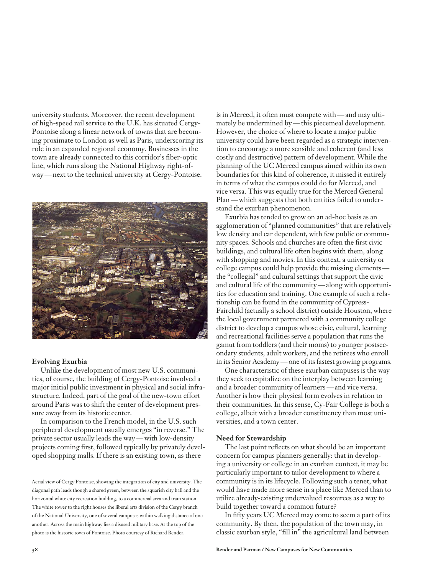university students. Moreover, the recent development of high-speed rail service to the U.K. has situated Cergy-Pontoise along a linear network of towns that are becoming proximate to London as well as Paris, underscoring its role in an expanded regional economy. Businesses in the town are already connected to this corridor's fiber-optic line, which runs along the National Highway right-ofway — next to the technical university at Cergy-Pontoise.



#### **Evolving Exurbia**

Unlike the development of most new U.S. communities, of course, the building of Cergy-Pontoise involved a major initial public investment in physical and social infrastructure. Indeed, part of the goal of the new-town effort around Paris was to shift the center of development pressure away from its historic center.

In comparison to the French model, in the U.S. such peripheral development usually emerges "in reverse." The private sector usually leads the way — with low-density projects coming first, followed typically by privately developed shopping malls. If there is an existing town, as there

Aerial view of Cergy Pontoise, showing the integration of city and university. The diagonal path leads though a shared green, between the squarish city hall and the horizontal white city recreation building, to a commercial area and train station. The white tower to the right houses the liberal arts division of the Cergy branch of the National University, one of several campuses within walking distance of one another. Across the main highway lies a disused military base. At the top of the photo is the historic town of Pontoise. Photo courtesy of Richard Bender.

is in Merced, it often must compete with — and may ultimately be undermined by — this piecemeal development. However, the choice of where to locate a major public university could have been regarded as a strategic intervention to encourage a more sensible and coherent (and less costly and destructive) pattern of development. While the planning of the UC Merced campus aimed within its own boundaries for this kind of coherence, it missed it entirely in terms of what the campus could do for Merced, and vice versa. This was equally true for the Merced General Plan — which suggests that both entities failed to understand the exurban phenomenon.

Exurbia has tended to grow on an ad-hoc basis as an agglomeration of "planned communities" that are relatively low density and car dependent, with few public or community spaces. Schools and churches are often the first civic buildings, and cultural life often begins with them, along with shopping and movies. In this context, a university or college campus could help provide the missing elements the "collegial" and cultural settings that support the civic and cultural life of the community — along with opportunities for education and training. One example of such a relationship can be found in the community of Cypress-Fairchild (actually a school district) outside Houston, where the local government partnered with a community college district to develop a campus whose civic, cultural, learning and recreational facilities serve a population that runs the gamut from toddlers (and their moms) to younger postsecondary students, adult workers, and the retirees who enroll in its Senior Academy — one of its fastest growing programs.

One characteristic of these exurban campuses is the way they seek to capitalize on the interplay between learning and a broader community of learners — and vice versa. Another is how their physical form evolves in relation to their communities. In this sense, Cy-Fair College is both a college, albeit with a broader constituency than most universities, and a town center.

#### **Need for Stewardship**

The last point reflects on what should be an important concern for campus planners generally: that in developing a university or college in an exurban context, it may be particularly important to tailor development to where a community is in its lifecycle. Following such a tenet, what would have made more sense in a place like Merced than to utilize already-existing undervalued resources as a way to build together toward a common future?

In fifty years UC Merced may come to seem a part of its community. By then, the population of the town may, in classic exurban style, "fill in" the agricultural land between